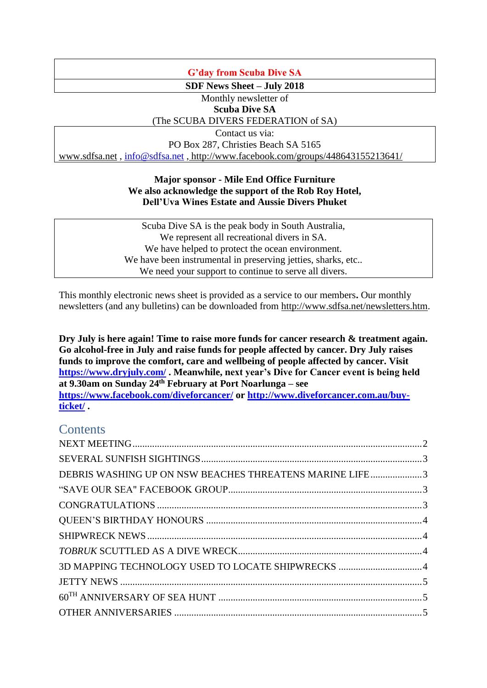# **G'day from Scuba Dive SA**

**SDF News Sheet – July 2018**

Monthly newsletter of **Scuba Dive SA**

# (The SCUBA DIVERS FEDERATION of SA)

Contact us via:

PO Box 287, Christies Beach SA 5165

[www.sdfsa.net](http://www.sdfsa.net/) , [info@sdfsa.net](mailto:info@sdfsa.net) , <http://www.facebook.com/groups/448643155213641/>

## **Major sponsor - Mile End Office Furniture We also acknowledge the support of the Rob Roy Hotel, Dell'Uva Wines Estate and Aussie Divers Phuket**

Scuba Dive SA is the peak body in South Australia, We represent all recreational divers in SA. We have helped to protect the ocean environment. We have been instrumental in preserving jetties, sharks, etc... We need your support to continue to serve all divers.

This monthly electronic news sheet is provided as a service to our members**.** Our monthly newsletters (and any bulletins) can be downloaded from [http://www.sdfsa.net/newsletters.htm.](http://www.sdfsa.net/newsletters.htm)

**Dry July is here again! Time to raise more funds for cancer research & treatment again. Go alcohol-free in July and raise funds for people affected by cancer. Dry July raises funds to improve the comfort, care and wellbeing of people affected by cancer. Visit <https://www.dryjuly.com/> . Meanwhile, next year's Dive for Cancer event is being held at 9.30am on Sunday 24th February at Port Noarlunga – see <https://www.facebook.com/diveforcancer/> or [http://www.diveforcancer.com.au/buy](http://www.diveforcancer.com.au/buy-ticket/)[ticket/](http://www.diveforcancer.com.au/buy-ticket/) .**

# **Contents**

| DEBRIS WASHING UP ON NSW BEACHES THREATENS MARINE LIFE3 |
|---------------------------------------------------------|
|                                                         |
|                                                         |
|                                                         |
|                                                         |
|                                                         |
| 3D MAPPING TECHNOLOGY USED TO LOCATE SHIPWRECKS 4       |
|                                                         |
|                                                         |
|                                                         |
|                                                         |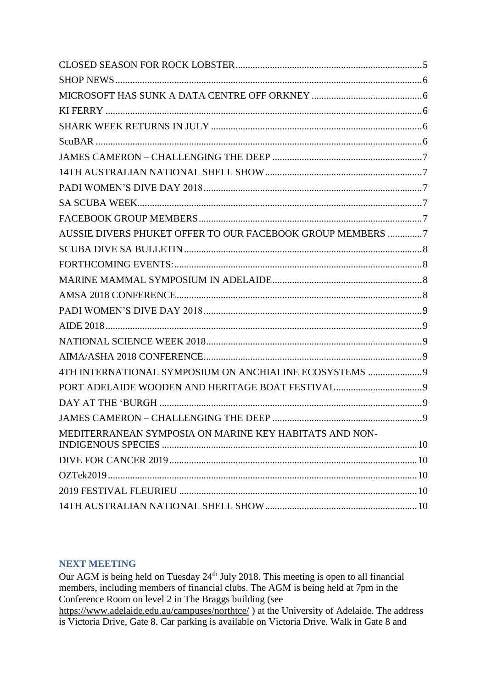| AUSSIE DIVERS PHUKET OFFER TO OUR FACEBOOK GROUP MEMBERS 7 |  |
|------------------------------------------------------------|--|
|                                                            |  |
|                                                            |  |
|                                                            |  |
|                                                            |  |
|                                                            |  |
|                                                            |  |
|                                                            |  |
|                                                            |  |
| 4TH INTERNATIONAL SYMPOSIUM ON ANCHIALINE ECOSYSTEMS 9     |  |
|                                                            |  |
|                                                            |  |
|                                                            |  |
| MEDITERRANEAN SYMPOSIA ON MARINE KEY HABITATS AND NON-     |  |
|                                                            |  |
|                                                            |  |
|                                                            |  |
|                                                            |  |

# <span id="page-1-0"></span>**NEXT MEETING**

Our AGM is being held on Tuesday 24<sup>th</sup> July 2018. This meeting is open to all financial members, including members of financial clubs. The AGM is being held at 7pm in the Conference Room on level 2 in The Braggs building (see

https://www.adelaide.edu.au/campuses/northtce/) at the University of Adelaide. The address is Victoria Drive, Gate 8. Car parking is available on Victoria Drive. Walk in Gate 8 and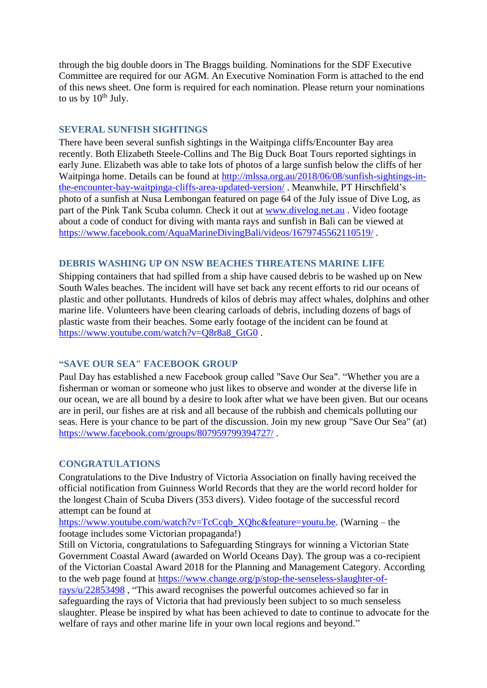through the big double doors in The Braggs building. Nominations for the SDF Executive Committee are required for our AGM. An Executive Nomination Form is attached to the end of this news sheet. One form is required for each nomination. Please return your nominations to us by  $10^{th}$  July.

#### <span id="page-2-0"></span>**SEVERAL SUNFISH SIGHTINGS**

There have been several sunfish sightings in the Waitpinga cliffs/Encounter Bay area recently. Both Elizabeth Steele-Collins and The Big Duck Boat Tours reported sightings in early June. Elizabeth was able to take lots of photos of a large sunfish below the cliffs of her Waitpinga home. Details can be found at [http://mlssa.org.au/2018/06/08/sunfish-sightings-in](http://mlssa.org.au/2018/06/08/sunfish-sightings-in-the-encounter-bay-waitpinga-cliffs-area-updated-version/)[the-encounter-bay-waitpinga-cliffs-area-updated-version/](http://mlssa.org.au/2018/06/08/sunfish-sightings-in-the-encounter-bay-waitpinga-cliffs-area-updated-version/) . Meanwhile, PT Hirschfield's photo of a sunfish at Nusa Lembongan featured on page 64 of the July issue of Dive Log, as part of the Pink Tank Scuba column. Check it out at [www.divelog.net.au](http://www.divelog.net.au/) . Video footage about a code of conduct for diving with manta rays and sunfish in Bali can be viewed at <https://www.facebook.com/AquaMarineDivingBali/videos/1679745562110519/>.

## <span id="page-2-1"></span>**DEBRIS WASHING UP ON NSW BEACHES THREATENS MARINE LIFE**

Shipping containers that had spilled from a ship have caused debris to be washed up on New South Wales beaches. The incident will have set back any recent efforts to rid our oceans of plastic and other pollutants. Hundreds of kilos of debris may affect whales, dolphins and other marine life. Volunteers have been clearing carloads of debris, including dozens of bags of plastic waste from their beaches. Some early footage of the incident can be found at [https://www.youtube.com/watch?v=Q8r8a8\\_GtG0](https://www.youtube.com/watch?v=Q8r8a8_GtG0).

## <span id="page-2-2"></span>**"SAVE OUR SEA" FACEBOOK GROUP**

Paul Day has established a new Facebook group called "Save Our Sea". "Whether you are a fisherman or woman or someone who just likes to observe and wonder at the diverse life in our ocean, we are all bound by a desire to look after what we have been given. But our oceans are in peril, our fishes are at risk and all because of the rubbish and chemicals polluting our seas. Here is your chance to be part of the discussion. Join my new group "Save Our Sea" (at) <https://www.facebook.com/groups/807959799394727/> .

## <span id="page-2-3"></span>**CONGRATULATIONS**

Congratulations to the Dive Industry of Victoria Association on finally having received the official notification from Guinness World Records that they are the world record holder for the longest Chain of Scuba Divers (353 divers). Video footage of the successful record attempt can be found at

[https://www.youtube.com/watch?v=TcCcqb\\_XQhc&feature=youtu.be.](https://www.youtube.com/watch?v=TcCcqb_XQhc&feature=youtu.be) (Warning – the footage includes some Victorian propaganda!)

Still on Victoria, congratulations to Safeguarding Stingrays for winning a Victorian State Government Coastal Award (awarded on World Oceans Day). The group was a co-recipient of the Victorian Coastal Award 2018 for the Planning and Management Category. According to the web page found at [https://www.change.org/p/stop-the-senseless-slaughter-of](https://www.change.org/p/stop-the-senseless-slaughter-of-rays/u/22853498)[rays/u/22853498](https://www.change.org/p/stop-the-senseless-slaughter-of-rays/u/22853498) , "This award recognises the powerful outcomes achieved so far in safeguarding the rays of Victoria that had previously been subject to so much senseless slaughter. Please be inspired by what has been achieved to date to continue to advocate for the welfare of rays and other marine life in your own local regions and beyond."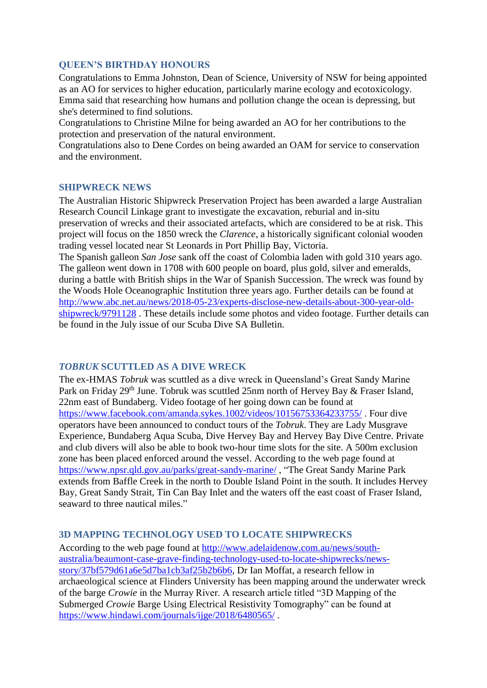#### <span id="page-3-0"></span>**QUEEN'S BIRTHDAY HONOURS**

Congratulations to Emma Johnston, Dean of Science, University of NSW for being appointed as an AO for services to higher education, particularly marine ecology and ecotoxicology. Emma said that researching how humans and pollution change the ocean is depressing, but she's determined to find solutions.

Congratulations to Christine Milne for being awarded an AO for her contributions to the protection and preservation of the natural environment.

Congratulations also to Dene Cordes on being awarded an OAM for service to conservation and the environment.

#### <span id="page-3-1"></span>**SHIPWRECK NEWS**

The Australian Historic Shipwreck Preservation Project has been awarded a large Australian Research Council Linkage grant to investigate the excavation, reburial and in-situ preservation of wrecks and their associated artefacts, which are considered to be at risk. This project will focus on the 1850 wreck the *Clarence*, a historically significant colonial wooden trading vessel located near St Leonards in Port Phillip Bay, Victoria.

The Spanish galleon *San Jose* sank off the coast of Colombia laden with gold 310 years ago. The galleon went down in 1708 with 600 people on board, plus gold, silver and emeralds, during a battle with British ships in the War of Spanish Succession. The wreck was found by the Woods Hole Oceanographic Institution three years ago. Further details can be found at [http://www.abc.net.au/news/2018-05-23/experts-disclose-new-details-about-300-year-old](http://www.abc.net.au/news/2018-05-23/experts-disclose-new-details-about-300-year-old-shipwreck/9791128)[shipwreck/9791128](http://www.abc.net.au/news/2018-05-23/experts-disclose-new-details-about-300-year-old-shipwreck/9791128) . These details include some photos and video footage. Further details can be found in the July issue of our Scuba Dive SA Bulletin.

## <span id="page-3-2"></span>*TOBRUK* **SCUTTLED AS A DIVE WRECK**

The ex-HMAS *Tobruk* was scuttled as a dive wreck in Queensland's Great Sandy Marine Park on Friday 29<sup>th</sup> June. Tobruk was scuttled 25nm north of Hervey Bay & Fraser Island, 22nm east of Bundaberg. Video footage of her going down can be found at <https://www.facebook.com/amanda.sykes.1002/videos/10156753364233755/> . Four dive operators have been announced to conduct tours of the *Tobruk*. They are Lady Musgrave Experience, Bundaberg Aqua Scuba, Dive Hervey Bay and Hervey Bay Dive Centre. Private and club divers will also be able to book two-hour time slots for the site. A 500m exclusion zone has been placed enforced around the vessel. According to the web page found at <https://www.npsr.qld.gov.au/parks/great-sandy-marine/> , "The Great Sandy Marine Park extends from Baffle Creek in the north to Double Island Point in the south. It includes Hervey Bay, Great Sandy Strait, Tin Can Bay Inlet and the waters off the east coast of Fraser Island, seaward to three nautical miles."

## <span id="page-3-3"></span>**3D MAPPING TECHNOLOGY USED TO LOCATE SHIPWRECKS**

According to the web page found at [http://www.adelaidenow.com.au/news/south](http://www.adelaidenow.com.au/news/south-australia/beaumont-case-grave-finding-technology-used-to-locate-shipwrecks/news-story/37bf579d61a6e5d7ba1cb3af25b2b6b6)[australia/beaumont-case-grave-finding-technology-used-to-locate-shipwrecks/news](http://www.adelaidenow.com.au/news/south-australia/beaumont-case-grave-finding-technology-used-to-locate-shipwrecks/news-story/37bf579d61a6e5d7ba1cb3af25b2b6b6)[story/37bf579d61a6e5d7ba1cb3af25b2b6b6,](http://www.adelaidenow.com.au/news/south-australia/beaumont-case-grave-finding-technology-used-to-locate-shipwrecks/news-story/37bf579d61a6e5d7ba1cb3af25b2b6b6) Dr Ian Moffat, a research fellow in archaeological science at Flinders University has been mapping around the underwater wreck of the barge *Crowie* in the Murray River. A research article titled "3D Mapping of the Submerged *Crowie* Barge Using Electrical Resistivity Tomography" can be found at <https://www.hindawi.com/journals/ijge/2018/6480565/> .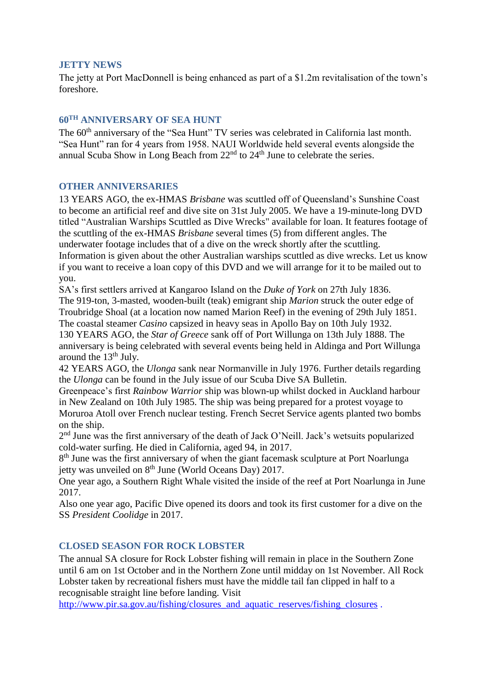#### <span id="page-4-0"></span>**JETTY NEWS**

The jetty at Port MacDonnell is being enhanced as part of a \$1.2m revitalisation of the town's foreshore.

## <span id="page-4-1"></span>**60TH ANNIVERSARY OF SEA HUNT**

The 60<sup>th</sup> anniversary of the "Sea Hunt" TV series was celebrated in California last month. "Sea Hunt" ran for 4 years from 1958. NAUI Worldwide held several events alongside the annual Scuba Show in Long Beach from  $22<sup>nd</sup>$  to  $24<sup>th</sup>$  June to celebrate the series.

## <span id="page-4-2"></span>**OTHER ANNIVERSARIES**

13 YEARS AGO, the ex-HMAS *Brisbane* was scuttled off of Queensland's Sunshine Coast to become an artificial reef and dive site on 31st July 2005. We have a 19-minute-long DVD titled "Australian Warships Scuttled as Dive Wrecks" available for loan. It features footage of the scuttling of the ex-HMAS *Brisbane* several times (5) from different angles. The underwater footage includes that of a dive on the wreck shortly after the scuttling. Information is given about the other Australian warships scuttled as dive wrecks. Let us know if you want to receive a loan copy of this DVD and we will arrange for it to be mailed out to you.

SA's first settlers arrived at Kangaroo Island on the *Duke of York* on 27th July 1836. The 919-ton, 3-masted, wooden-built (teak) emigrant ship *Marion* struck the outer edge of Troubridge Shoal (at a location now named Marion Reef) in the evening of 29th July 1851. The coastal steamer *Casino* capsized in heavy seas in Apollo Bay on 10th July 1932.

130 YEARS AGO, the *Star of Greece* sank off of Port Willunga on 13th July 1888. The anniversary is being celebrated with several events being held in Aldinga and Port Willunga around the  $13<sup>th</sup>$  July.

42 YEARS AGO, the *Ulonga* sank near Normanville in July 1976. Further details regarding the *Ulonga* can be found in the July issue of our Scuba Dive SA Bulletin.

Greenpeace's first *Rainbow Warrior* ship was blown-up whilst docked in Auckland harbour in New Zealand on 10th July 1985. The ship was being prepared for a protest voyage to Moruroa Atoll over French nuclear testing. French Secret Service agents planted two bombs on the ship.

2<sup>nd</sup> June was the first anniversary of the death of Jack O'Neill. Jack's wetsuits popularized cold-water surfing. He died in California, aged 94, in 2017.

8<sup>th</sup> June was the first anniversary of when the giant facemask sculpture at Port Noarlunga jetty was unveiled on  $8<sup>th</sup>$  June (World Oceans Day) 2017.

One year ago, a Southern Right Whale visited the inside of the reef at Port Noarlunga in June 2017.

Also one year ago, Pacific Dive opened its doors and took its first customer for a dive on the SS *President Coolidge* in 2017.

## <span id="page-4-3"></span>**CLOSED SEASON FOR ROCK LOBSTER**

The annual SA closure for Rock Lobster fishing will remain in place in the Southern Zone until 6 am on 1st October and in the Northern Zone until midday on 1st November. All Rock Lobster taken by recreational fishers must have the middle tail fan clipped in half to a recognisable straight line before landing. Visit

[http://www.pir.sa.gov.au/fishing/closures\\_and\\_aquatic\\_reserves/fishing\\_closures](http://www.pir.sa.gov.au/fishing/closures_and_aquatic_reserves/fishing_closures) .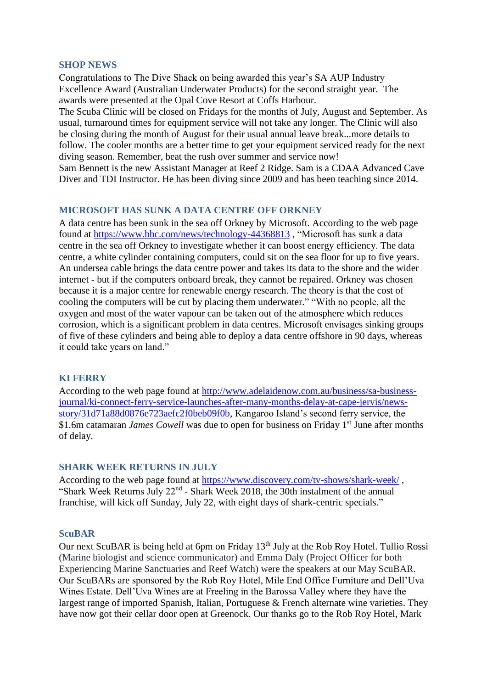#### <span id="page-5-0"></span>**SHOP NEWS**

Congratulations to The Dive Shack on being awarded this year's SA AUP Industry Excellence Award (Australian Underwater Products) for the second straight year. The awards were presented at the Opal Cove Resort at Coffs Harbour.

The Scuba Clinic will be closed on Fridays for the months of July, August and September. As usual, turnaround times for equipment service will not take any longer. The Clinic will also be closing during the month of August for their usual annual leave break...more details to follow. The cooler months are a better time to get your equipment serviced ready for the next diving season. Remember, beat the rush over summer and service now!

Sam Bennett is the new Assistant Manager at Reef 2 Ridge. Sam is a CDAA Advanced Cave Diver and TDI Instructor. He has been diving since 2009 and has been teaching since 2014.

#### <span id="page-5-1"></span>**MICROSOFT HAS SUNK A DATA CENTRE OFF ORKNEY**

A data centre has been sunk in the sea off Orkney by Microsoft. According to the web page found at<https://www.bbc.com/news/technology-44368813> , "Microsoft has sunk a data centre in the sea off Orkney to investigate whether it can boost energy efficiency. The data centre, a white cylinder containing computers, could sit on the sea floor for up to five years. An undersea cable brings the data centre power and takes its data to the shore and the wider internet - but if the computers onboard break, they cannot be repaired. Orkney was chosen because it is a major centre for renewable energy research. The theory is that the cost of cooling the computers will be cut by placing them underwater." "With no people, all the oxygen and most of the water vapour can be taken out of the atmosphere which reduces corrosion, which is a significant problem in data centres. Microsoft envisages sinking groups of five of these cylinders and being able to deploy a data centre offshore in 90 days, whereas it could take years on land."

#### <span id="page-5-2"></span>**KI FERRY**

According to the web page found at [http://www.adelaidenow.com.au/business/sa-business](http://www.adelaidenow.com.au/business/sa-business-journal/ki-connect-ferry-service-launches-after-many-months-delay-at-cape-jervis/news-story/31d71a88d0876e723aefc2f0beb09f0b)[journal/ki-connect-ferry-service-launches-after-many-months-delay-at-cape-jervis/news](http://www.adelaidenow.com.au/business/sa-business-journal/ki-connect-ferry-service-launches-after-many-months-delay-at-cape-jervis/news-story/31d71a88d0876e723aefc2f0beb09f0b)[story/31d71a88d0876e723aefc2f0beb09f0b,](http://www.adelaidenow.com.au/business/sa-business-journal/ki-connect-ferry-service-launches-after-many-months-delay-at-cape-jervis/news-story/31d71a88d0876e723aefc2f0beb09f0b) Kangaroo Island's second ferry service, the \$1.6m catamaran *James Cowell* was due to open for business on Friday 1<sup>st</sup> June after months of delay.

#### <span id="page-5-3"></span>**SHARK WEEK RETURNS IN JULY**

According to the web page found at<https://www.discovery.com/tv-shows/shark-week/> , "Shark Week Returns July 22<sup>nd</sup> - Shark Week 2018, the 30th instalment of the annual franchise, will kick off Sunday, July 22, with eight days of shark-centric specials."

#### <span id="page-5-4"></span>**ScuBAR**

Our next ScuBAR is being held at 6pm on Friday 13<sup>th</sup> July at the Rob Roy Hotel. Tullio Rossi (Marine biologist and science communicator) and Emma Daly (Project Officer for both Experiencing Marine Sanctuaries and Reef Watch) were the speakers at our May ScuBAR. Our ScuBARs are sponsored by the Rob Roy Hotel, Mile End Office Furniture and Dell'Uva Wines Estate. Dell'Uva Wines are at Freeling in the Barossa Valley where they have the largest range of imported Spanish, Italian, Portuguese & French alternate wine varieties. They have now got their cellar door open at Greenock. Our thanks go to the Rob Roy Hotel, Mark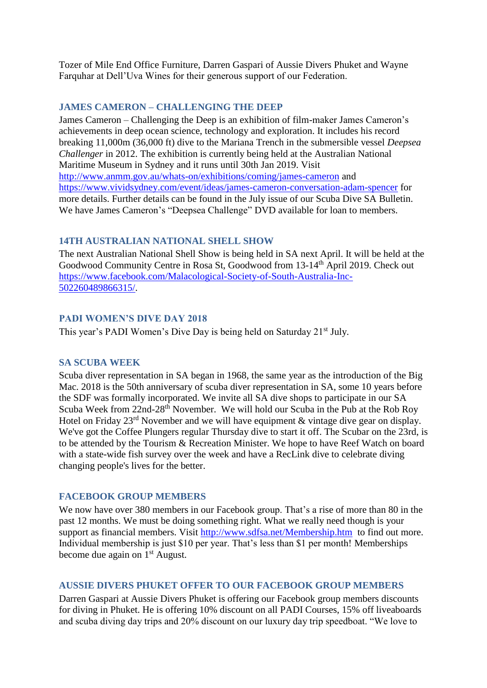Tozer of Mile End Office Furniture, Darren Gaspari of Aussie Divers Phuket and Wayne Farquhar at Dell'Uva Wines for their generous support of our Federation.

### <span id="page-6-0"></span>**JAMES CAMERON – CHALLENGING THE DEEP**

James Cameron – Challenging the Deep is an exhibition of film-maker James Cameron's achievements in deep ocean science, technology and exploration. It includes his record breaking 11,000m (36,000 ft) dive to the Mariana Trench in the submersible vessel *Deepsea Challenger* in 2012. The exhibition is currently being held at the Australian National Maritime Museum in Sydney and it runs until 30th Jan 2019. Visit <http://www.anmm.gov.au/whats-on/exhibitions/coming/james-cameron> and <https://www.vividsydney.com/event/ideas/james-cameron-conversation-adam-spencer> for more details. Further details can be found in the July issue of our Scuba Dive SA Bulletin. We have James Cameron's "Deepsea Challenge" DVD available for loan to members.

## <span id="page-6-1"></span>**14TH AUSTRALIAN NATIONAL SHELL SHOW**

The next Australian National Shell Show is being held in SA next April. It will be held at the Goodwood Community Centre in Rosa St, Goodwood from 13-14th April 2019. Check out [https://www.facebook.com/Malacological-Society-of-South-Australia-Inc-](https://www.facebook.com/Malacological-Society-of-South-Australia-Inc-502260489866315/)[502260489866315/.](https://www.facebook.com/Malacological-Society-of-South-Australia-Inc-502260489866315/)

## <span id="page-6-2"></span>**PADI WOMEN'S DIVE DAY 2018**

<span id="page-6-3"></span>This year's PADI Women's Dive Day is being held on Saturday 21<sup>st</sup> July.

#### **SA SCUBA WEEK**

Scuba diver representation in SA began in 1968, the same year as the introduction of the Big Mac. 2018 is the 50th anniversary of scuba diver representation in SA, some 10 years before the SDF was formally incorporated. We invite all SA dive shops to participate in our SA Scuba Week from 22nd-28<sup>th</sup> November. We will hold our Scuba in the Pub at the Rob Roy Hotel on Friday 23<sup>rd</sup> November and we will have equipment & vintage dive gear on display. We've got the Coffee Plungers regular Thursday dive to start it off. The Scubar on the 23rd, is to be attended by the Tourism & Recreation Minister. We hope to have Reef Watch on board with a state-wide fish survey over the week and have a RecLink dive to celebrate diving changing people's lives for the better.

#### <span id="page-6-4"></span>**FACEBOOK GROUP MEMBERS**

We now have over 380 members in our Facebook group. That's a rise of more than 80 in the past 12 months. We must be doing something right. What we really need though is your support as financial members. Visit<http://www.sdfsa.net/Membership.htm>to find out more. Individual membership is just \$10 per year. That's less than \$1 per month! Memberships become due again on 1<sup>st</sup> August.

#### <span id="page-6-5"></span>**AUSSIE DIVERS PHUKET OFFER TO OUR FACEBOOK GROUP MEMBERS**

Darren Gaspari at Aussie Divers Phuket is offering our Facebook group members discounts for diving in Phuket. He is offering 10% discount on all PADI Courses, 15% off liveaboards and scuba diving day trips and 20% discount on our luxury day trip speedboat. "We love to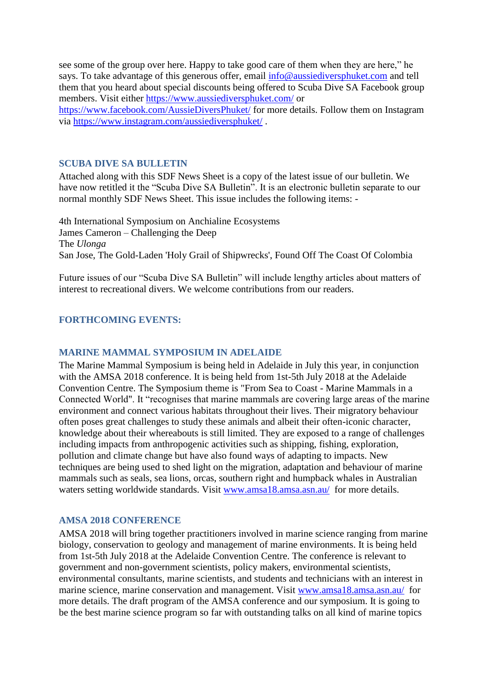see some of the group over here. Happy to take good care of them when they are here," he says. To take advantage of this generous offer, email [info@aussiediversphuket.com](mailto:info@aussiediversphuket.com) and tell them that you heard about special discounts being offered to Scuba Dive SA Facebook group members. Visit either<https://www.aussiediversphuket.com/> or <https://www.facebook.com/AussieDiversPhuket/> for more details. Follow them on Instagram via<https://www.instagram.com/aussiediversphuket/> .

#### <span id="page-7-0"></span>**SCUBA DIVE SA BULLETIN**

Attached along with this SDF News Sheet is a copy of the latest issue of our bulletin. We have now retitled it the "Scuba Dive SA Bulletin". It is an electronic bulletin separate to our normal monthly SDF News Sheet. This issue includes the following items: -

4th International Symposium on Anchialine Ecosystems James Cameron – Challenging the Deep The *Ulonga* San Jose, The Gold-Laden 'Holy Grail of Shipwrecks', Found Off The Coast Of Colombia

Future issues of our "Scuba Dive SA Bulletin" will include lengthy articles about matters of interest to recreational divers. We welcome contributions from our readers.

## <span id="page-7-2"></span><span id="page-7-1"></span>**FORTHCOMING EVENTS:**

#### **MARINE MAMMAL SYMPOSIUM IN ADELAIDE**

The Marine Mammal Symposium is being held in Adelaide in July this year, in conjunction with the AMSA 2018 conference. It is being held from 1st-5th July 2018 at the Adelaide Convention Centre. The Symposium theme is "From Sea to Coast - Marine Mammals in a Connected World". It "recognises that marine mammals are covering large areas of the marine environment and connect various habitats throughout their lives. Their migratory behaviour often poses great challenges to study these animals and albeit their often-iconic character, knowledge about their whereabouts is still limited. They are exposed to a range of challenges including impacts from anthropogenic activities such as shipping, fishing, exploration, pollution and climate change but have also found ways of adapting to impacts. New techniques are being used to shed light on the migration, adaptation and behaviour of marine mammals such as seals, sea lions, orcas, southern right and humpback whales in Australian waters setting worldwide standards. Visit [www.amsa18.amsa.asn.au/](http://www.amsa18.amsa.asn.au/) for more details.

#### <span id="page-7-3"></span>**AMSA 2018 CONFERENCE**

AMSA 2018 will bring together practitioners involved in marine science ranging from marine biology, conservation to geology and management of marine environments. It is being held from 1st-5th July 2018 at the Adelaide Convention Centre. The conference is relevant to government and non-government scientists, policy makers, environmental scientists, environmental consultants, marine scientists, and students and technicians with an interest in marine science, marine conservation and management. Visit [www.amsa18.amsa.asn.au/](http://www.amsa18.amsa.asn.au/) for more details. The draft program of the AMSA conference and our symposium. It is going to be the best marine science program so far with outstanding talks on all kind of marine topics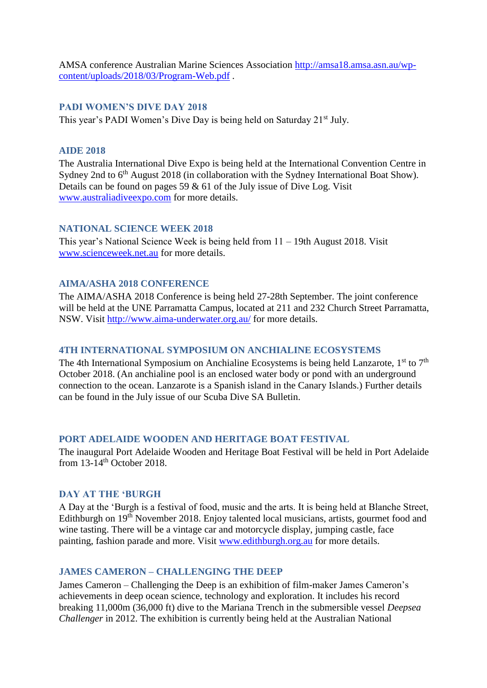AMSA conference Australian Marine Sciences Association [http://amsa18.amsa.asn.au/wp](http://amsa18.amsa.asn.au/wp-content/uploads/2018/03/Program-Web.pdf)[content/uploads/2018/03/Program-Web.pdf](http://amsa18.amsa.asn.au/wp-content/uploads/2018/03/Program-Web.pdf) .

#### <span id="page-8-0"></span>**PADI WOMEN'S DIVE DAY 2018**

<span id="page-8-1"></span>This year's PADI Women's Dive Day is being held on Saturday 21<sup>st</sup> July.

### **AIDE 2018**

The Australia International Dive Expo is being held at the International Convention Centre in Sydney 2nd to 6<sup>th</sup> August 2018 (in collaboration with the Sydney International Boat Show). Details can be found on pages 59  $\&$  61 of the July issue of Dive Log. Visit [www.australiadiveexpo.com](http://www.australiadiveexpo.com/) for more details.

#### <span id="page-8-2"></span>**NATIONAL SCIENCE WEEK 2018**

This year's National Science Week is being held from 11 – 19th August 2018. Visit [www.scienceweek.net.au](http://www.scienceweek.net.au/) for more details.

#### <span id="page-8-3"></span>**AIMA/ASHA 2018 CONFERENCE**

The AIMA/ASHA 2018 Conference is being held 27-28th September. The joint conference will be held at the UNE Parramatta Campus, located at 211 and 232 Church Street Parramatta, NSW. Visit<http://www.aima-underwater.org.au/> for more details.

### <span id="page-8-4"></span>**4TH INTERNATIONAL SYMPOSIUM ON ANCHIALINE ECOSYSTEMS**

The 4th International Symposium on Anchialine Ecosystems is being held Lanzarote,  $1<sup>st</sup>$  to  $7<sup>th</sup>$ October 2018. (An anchialine pool is an enclosed water body or pond with an underground connection to the ocean. Lanzarote is a Spanish island in the Canary Islands.) Further details can be found in the July issue of our Scuba Dive SA Bulletin.

#### <span id="page-8-5"></span>**PORT ADELAIDE WOODEN AND HERITAGE BOAT FESTIVAL**

The inaugural Port Adelaide Wooden and Heritage Boat Festival will be held in Port Adelaide from 13-14<sup>th</sup> October 2018.

#### <span id="page-8-6"></span>**DAY AT THE 'BURGH**

A Day at the 'Burgh is a festival of food, music and the arts. It is being held at Blanche Street, Edithburgh on 19<sup>th</sup> November 2018. Enjoy talented local musicians, artists, gourmet food and wine tasting. There will be a vintage car and motorcycle display, jumping castle, face painting, fashion parade and more. Visit [www.edithburgh.org.au](http://www.edithburgh.org.au/) for more details.

#### <span id="page-8-7"></span>**JAMES CAMERON – CHALLENGING THE DEEP**

James Cameron – Challenging the Deep is an exhibition of film-maker James Cameron's achievements in deep ocean science, technology and exploration. It includes his record breaking 11,000m (36,000 ft) dive to the Mariana Trench in the submersible vessel *Deepsea Challenger* in 2012. The exhibition is currently being held at the Australian National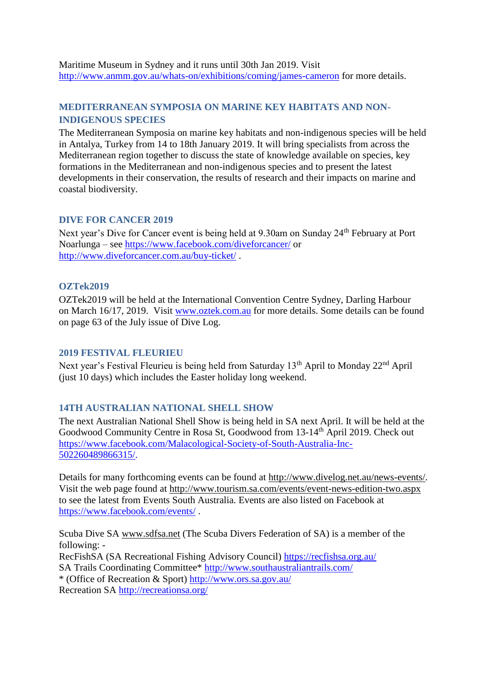Maritime Museum in Sydney and it runs until 30th Jan 2019. Visit <http://www.anmm.gov.au/whats-on/exhibitions/coming/james-cameron> for more details.

## <span id="page-9-0"></span>**MEDITERRANEAN SYMPOSIA ON MARINE KEY HABITATS AND NON-INDIGENOUS SPECIES**

The Mediterranean Symposia on marine key habitats and non-indigenous species will be held in Antalya, Turkey from 14 to 18th January 2019. It will bring specialists from across the Mediterranean region together to discuss the state of knowledge available on species, key formations in the Mediterranean and non-indigenous species and to present the latest developments in their conservation, the results of research and their impacts on marine and coastal biodiversity.

#### <span id="page-9-1"></span>**DIVE FOR CANCER 2019**

Next year's Dive for Cancer event is being held at 9.30am on Sunday 24<sup>th</sup> February at Port Noarlunga – see<https://www.facebook.com/diveforcancer/> or <http://www.diveforcancer.com.au/buy-ticket/> .

#### <span id="page-9-2"></span>**OZTek2019**

OZTek2019 will be held at the International Convention Centre Sydney, Darling Harbour on March 16/17, 2019. Visit [www.oztek.com.au](http://www.oztek.com.au/) for more details. Some details can be found on page 63 of the July issue of Dive Log.

#### <span id="page-9-3"></span>**2019 FESTIVAL FLEURIEU**

Next year's Festival Fleurieu is being held from Saturday 13<sup>th</sup> April to Monday 22<sup>nd</sup> April (just 10 days) which includes the Easter holiday long weekend.

#### <span id="page-9-4"></span>**14TH AUSTRALIAN NATIONAL SHELL SHOW**

The next Australian National Shell Show is being held in SA next April. It will be held at the Goodwood Community Centre in Rosa St, Goodwood from 13-14<sup>th</sup> April 2019. Check out [https://www.facebook.com/Malacological-Society-of-South-Australia-Inc-](https://www.facebook.com/Malacological-Society-of-South-Australia-Inc-502260489866315/)[502260489866315/.](https://www.facebook.com/Malacological-Society-of-South-Australia-Inc-502260489866315/)

Details for many forthcoming events can be found at [http://www.divelog.net.au/news-events/.](http://www.divelog.net.au/news-events/) Visit the web page found at<http://www.tourism.sa.com/events/event-news-edition-two.aspx> to see the latest from Events South Australia. Events are also listed on Facebook at <https://www.facebook.com/events/> .

Scuba Dive SA [www.sdfsa.net](http://www.sdfsa.net/) (The Scuba Divers Federation of SA) is a member of the following: - RecFishSA (SA Recreational Fishing Advisory Council)<https://recfishsa.org.au/> SA Trails Coordinating Committee\*<http://www.southaustraliantrails.com/> \* (Office of Recreation & Sport)<http://www.ors.sa.gov.au/> Recreation SA<http://recreationsa.org/>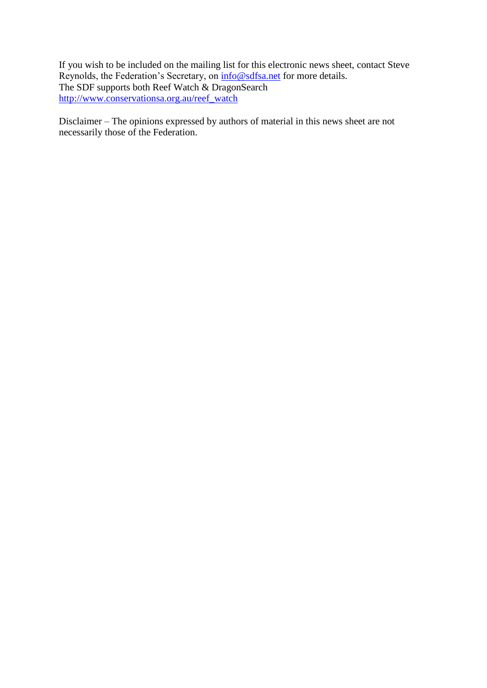If you wish to be included on the mailing list for this electronic news sheet, contact Steve Reynolds, the Federation's Secretary, on  $\frac{info@sdfsa.net}{info@sdfsa.net}$  for more details. The SDF supports both Reef Watch & DragonSearch [http://www.conservationsa.org.au/reef\\_watch](http://www.conservationsa.org.au/reef_watch)

Disclaimer – The opinions expressed by authors of material in this news sheet are not necessarily those of the Federation.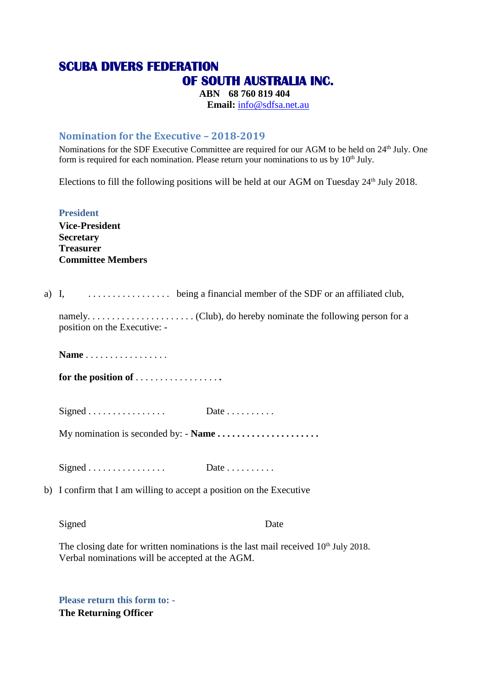# **SCUBA DIVERS FEDERATION OF SOUTH AUSTRALIA INC.**

**ABN 68 760 819 404 Email:** [info@sdfsa.net.au](mailto:info@sdfsa.net.au)

## **Nomination for the Executive – 2018-2019**

Nominations for the SDF Executive Committee are required for our AGM to be held on 24<sup>th</sup> July. One form is required for each nomination. Please return your nominations to us by  $10<sup>th</sup>$  July.

Elections to fill the following positions will be held at our AGM on Tuesday 24<sup>th</sup> July 2018.

**President Vice-President Secretary Treasurer Committee Members**

a) I, . . . . . . . . . . . . . . . . . being a financial member of the SDF or an affiliated club,

namely. . . . . . . . . . . . . . . . . . . . . . (Club), do hereby nominate the following person for a position on the Executive: -

**Name** . . . . . . . . . . . . . . . . .

**for the position of** . . . . . . . . . . . . . . . . . **.**

 $Signal \dots \dots \dots \dots \dots$  Date  $\dots \dots \dots$ 

My nomination is seconded by: - **Name . . . . . . . . . . . . . . . . . . . . .**

 $Signal \dots \dots \dots \dots \dots \dots$  Date  $\dots \dots \dots$ 

b) I confirm that I am willing to accept a position on the Executive

Signed Date

The closing date for written nominations is the last mail received  $10<sup>th</sup>$  July 2018. Verbal nominations will be accepted at the AGM.

**Please return this form to: - The Returning Officer**